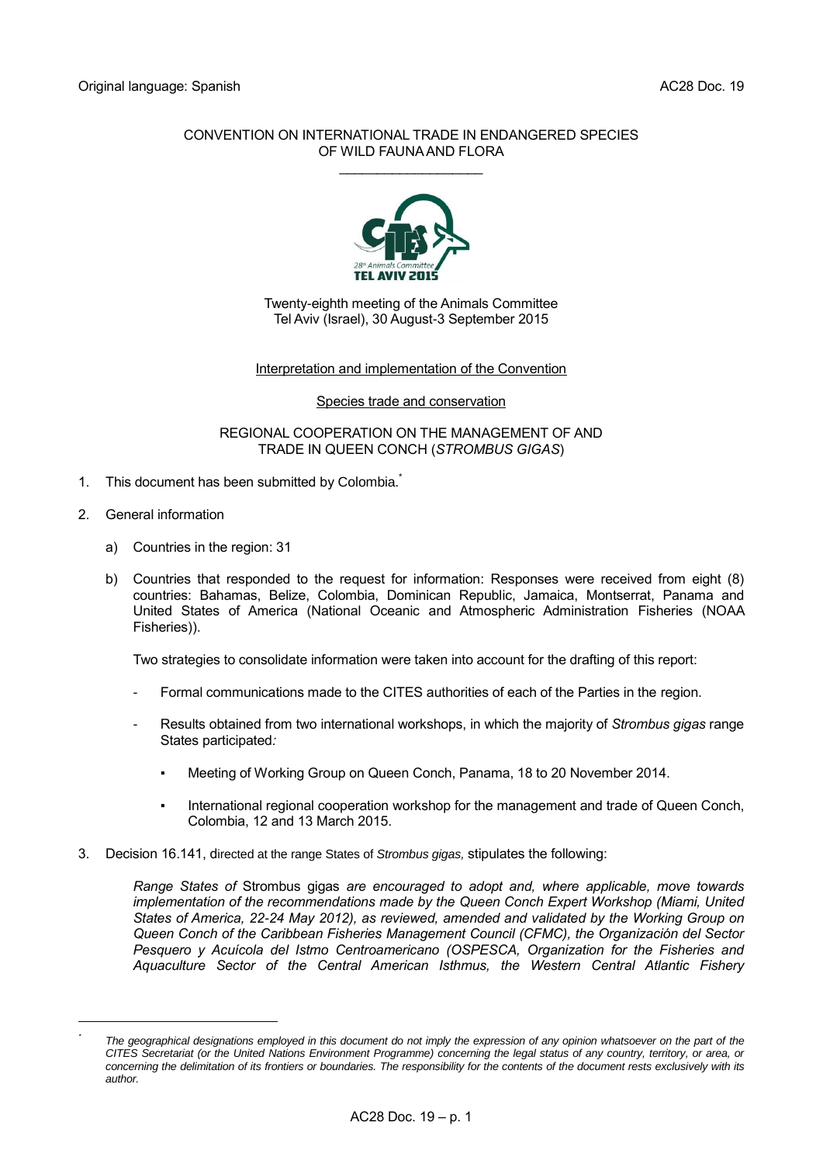# CONVENTION ON INTERNATIONAL TRADE IN ENDANGERED SPECIES OF WILD FAUNA AND FLORA

\_\_\_\_\_\_\_\_\_\_\_\_\_\_\_\_\_\_\_



Twenty-eighth meeting of the Animals Committee Tel Aviv (Israel), 30 August-3 September 2015

# Interpretation and implementation of the Convention

## Species trade and conservation

## REGIONAL COOPERATION ON THE MANAGEMENT OF AND TRADE IN QUEEN CONCH (*STROMBUS GIGAS*)

- 1. This document has been submitted by Colombia.
- 2. General information

-*\**

- a) Countries in the region: 31
- b) Countries that responded to the request for information: Responses were received from eight (8) countries: Bahamas, Belize, Colombia, Dominican Republic, Jamaica, Montserrat, Panama and United States of America (National Oceanic and Atmospheric Administration Fisheries (NOAA Fisheries)).

Two strategies to consolidate information were taken into account for the drafting of this report:

- Formal communications made to the CITES authorities of each of the Parties in the region.
- Results obtained from two international workshops, in which the majority of *Strombus gigas* range States participated*:*
	- Meeting of Working Group on Queen Conch, Panama, 18 to 20 November 2014.
	- International regional cooperation workshop for the management and trade of Queen Conch, Colombia, 12 and 13 March 2015.
- 3. Decision 16.141, directed at the range States of *Strombus gigas,* stipulates the following:

*Range States of* Strombus gigas *are encouraged to adopt and, where applicable, move towards implementation of the recommendations made by the Queen Conch Expert Workshop (Miami, United States of America, 22-24 May 2012), as reviewed, amended and validated by the Working Group on Queen Conch of the Caribbean Fisheries Management Council (CFMC), the Organización del Sector Pesquero y Acuícola del Istmo Centroamericano (OSPESCA, Organization for the Fisheries and Aquaculture Sector of the Central American Isthmus, the Western Central Atlantic Fishery* 

*The geographical designations employed in this document do not imply the expression of any opinion whatsoever on the part of the CITES Secretariat (or the United Nations Environment Programme) concerning the legal status of any country, territory, or area, or concerning the delimitation of its frontiers or boundaries. The responsibility for the contents of the document rests exclusively with its author.*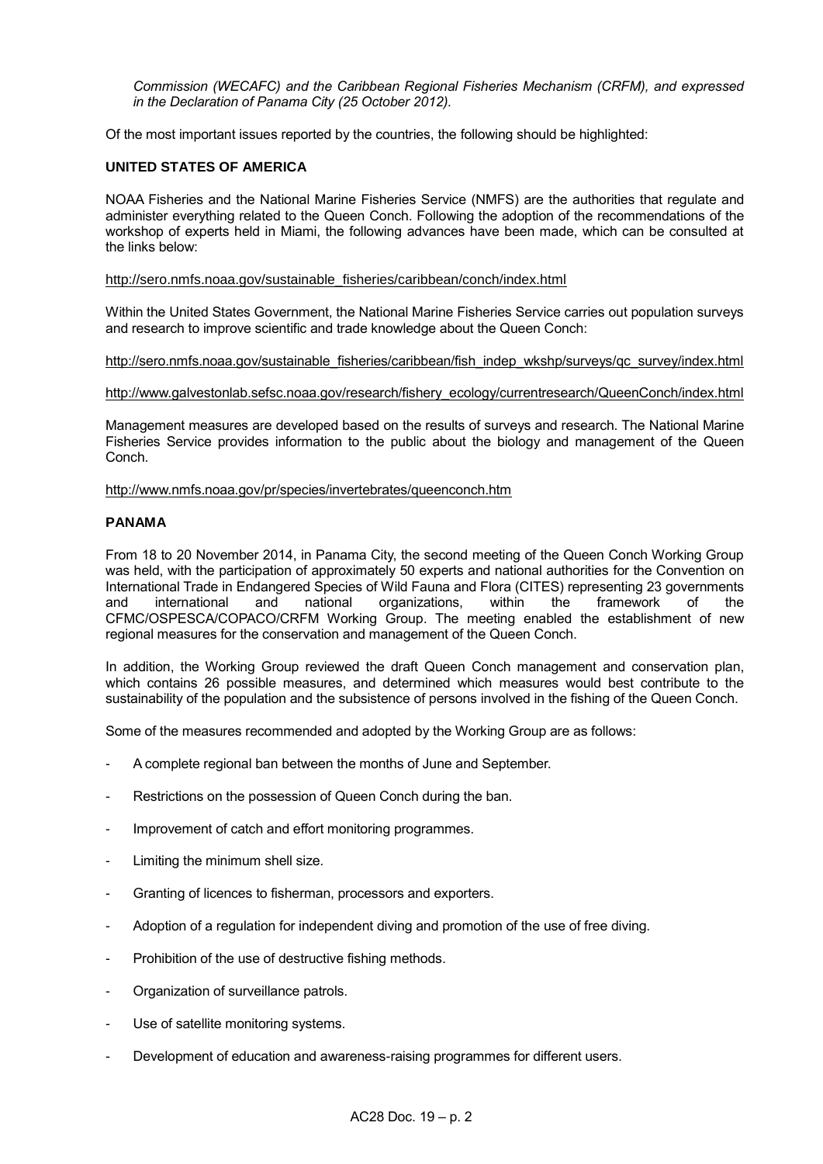*Commission (WECAFC) and the Caribbean Regional Fisheries Mechanism (CRFM), and expressed in the Declaration of Panama City (25 October 2012).*

Of the most important issues reported by the countries, the following should be highlighted:

# **UNITED STATES OF AMERICA**

NOAA Fisheries and the National Marine Fisheries Service (NMFS) are the authorities that regulate and administer everything related to the Queen Conch. Following the adoption of the recommendations of the workshop of experts held in Miami, the following advances have been made, which can be consulted at the links below:

## [http://sero.nmfs.noaa.gov/sustainable\\_fisheries/caribbean/conch/index.html](http://sero.nmfs.noaa.gov/sustainable_fisheries/caribbean/conch/index.html)

Within the United States Government, the National Marine Fisheries Service carries out population surveys and research to improve scientific and trade knowledge about the Queen Conch:

[http://sero.nmfs.noaa.gov/sustainable\\_fisheries/caribbean/fish\\_indep\\_wkshp/surveys/qc\\_survey/index.html](http://sero.nmfs.noaa.gov/sustainable_fisheries/caribbean/fish_indep_wkshp/surveys/qc_survey/index.html)

[http://www.galvestonlab.sefsc.noaa.gov/research/fishery\\_ecology/currentresearch/QueenConch/index.html](http://www.galvestonlab.sefsc.noaa.gov/research/fishery_ecology/currentresearch/QueenConch/index.html)

Management measures are developed based on the results of surveys and research. The National Marine Fisheries Service provides information to the public about the biology and management of the Queen Conch.

<http://www.nmfs.noaa.gov/pr/species/invertebrates/queenconch.htm>

## **PANAMA**

From 18 to 20 November 2014, in Panama City, the second meeting of the Queen Conch Working Group was held, with the participation of approximately 50 experts and national authorities for the Convention on International Trade in Endangered Species of Wild Fauna and Flora (CITES) representing 23 governments and international and national organizations, within the framework of the CFMC/OSPESCA/COPACO/CRFM Working Group. The meeting enabled the establishment of new regional measures for the conservation and management of the Queen Conch.

In addition, the Working Group reviewed the draft Queen Conch management and conservation plan, which contains 26 possible measures, and determined which measures would best contribute to the sustainability of the population and the subsistence of persons involved in the fishing of the Queen Conch.

Some of the measures recommended and adopted by the Working Group are as follows:

- A complete regional ban between the months of June and September.
- Restrictions on the possession of Queen Conch during the ban.
- Improvement of catch and effort monitoring programmes.
- Limiting the minimum shell size.
- Granting of licences to fisherman, processors and exporters.
- Adoption of a regulation for independent diving and promotion of the use of free diving.
- Prohibition of the use of destructive fishing methods.
- Organization of surveillance patrols.
- Use of satellite monitoring systems.
- Development of education and awareness-raising programmes for different users.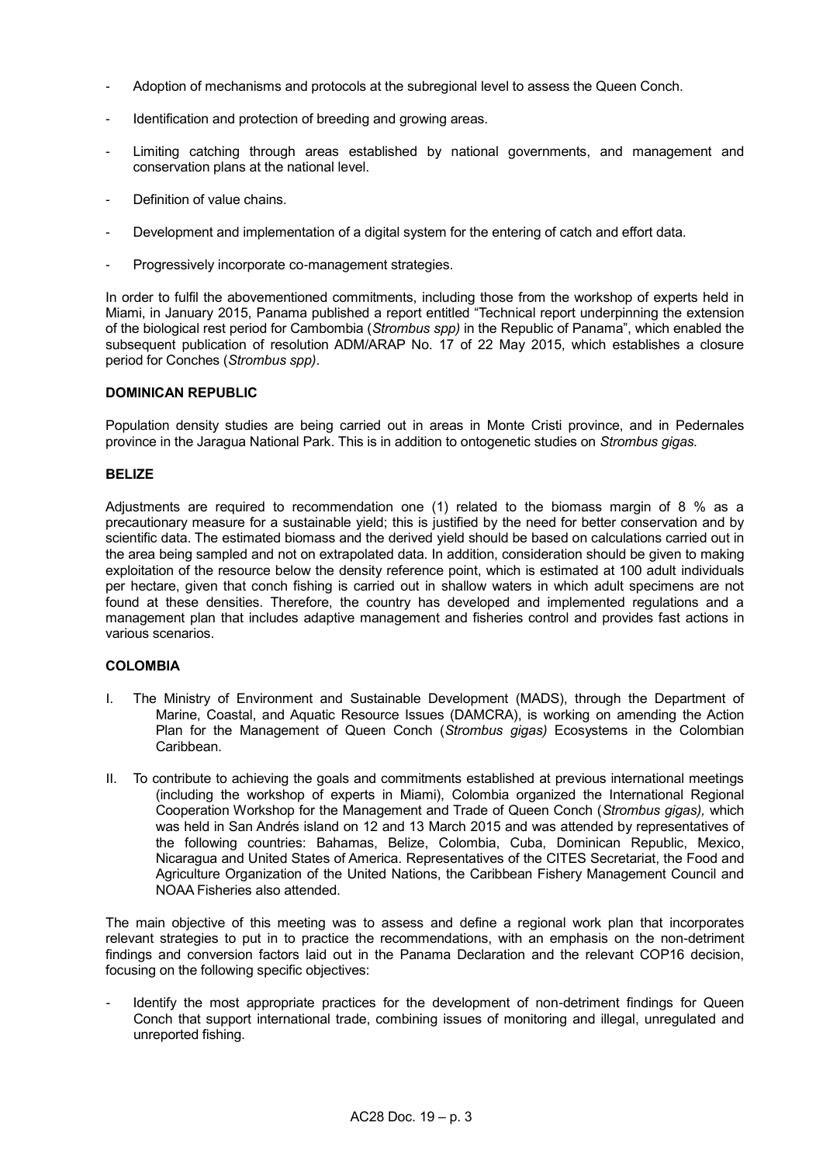- Adoption of mechanisms and protocols at the subregional level to assess the Queen Conch.
- Identification and protection of breeding and growing areas.
- Limiting catching through areas established by national governments, and management and conservation plans at the national level.
- Definition of value chains.
- Development and implementation of a digital system for the entering of catch and effort data.
- Progressively incorporate co-management strategies.

In order to fulfil the abovementioned commitments, including those from the workshop of experts held in Miami, in January 2015, Panama published a report entitled "Technical report underpinning the extension of the biological rest period for Cambombia (*Strombus spp)* in the Republic of Panama", which enabled the subsequent publication of resolution ADM/ARAP No. 17 of 22 May 2015, which establishes a closure period for Conches (*Strombus spp)*.

# **DOMINICAN REPUBLIC**

Population density studies are being carried out in areas in Monte Cristi province, and in Pedernales province in the Jaragua National Park. This is in addition to ontogenetic studies on *Strombus gigas.*

# **BELIZE**

Adjustments are required to recommendation one (1) related to the biomass margin of 8 % as a precautionary measure for a sustainable yield; this is justified by the need for better conservation and by scientific data. The estimated biomass and the derived yield should be based on calculations carried out in the area being sampled and not on extrapolated data. In addition, consideration should be given to making exploitation of the resource below the density reference point, which is estimated at 100 adult individuals per hectare, given that conch fishing is carried out in shallow waters in which adult specimens are not found at these densities. Therefore, the country has developed and implemented regulations and a management plan that includes adaptive management and fisheries control and provides fast actions in various scenarios.

# **COLOMBIA**

- I. The Ministry of Environment and Sustainable Development (MADS), through the Department of Marine, Coastal, and Aquatic Resource Issues (DAMCRA), is working on amending the Action Plan for the Management of Queen Conch (*Strombus gigas)* Ecosystems in the Colombian Caribbean.
- II. To contribute to achieving the goals and commitments established at previous international meetings (including the workshop of experts in Miami), Colombia organized the International Regional Cooperation Workshop for the Management and Trade of Queen Conch (*Strombus gigas),* which was held in San Andrés island on 12 and 13 March 2015 and was attended by representatives of the following countries: Bahamas, Belize, Colombia, Cuba, Dominican Republic, Mexico, Nicaragua and United States of America. Representatives of the CITES Secretariat, the Food and Agriculture Organization of the United Nations, the Caribbean Fishery Management Council and NOAA Fisheries also attended.

The main objective of this meeting was to assess and define a regional work plan that incorporates relevant strategies to put in to practice the recommendations, with an emphasis on the non-detriment findings and conversion factors laid out in the Panama Declaration and the relevant COP16 decision, focusing on the following specific objectives:

Identify the most appropriate practices for the development of non-detriment findings for Queen Conch that support international trade, combining issues of monitoring and illegal, unregulated and unreported fishing.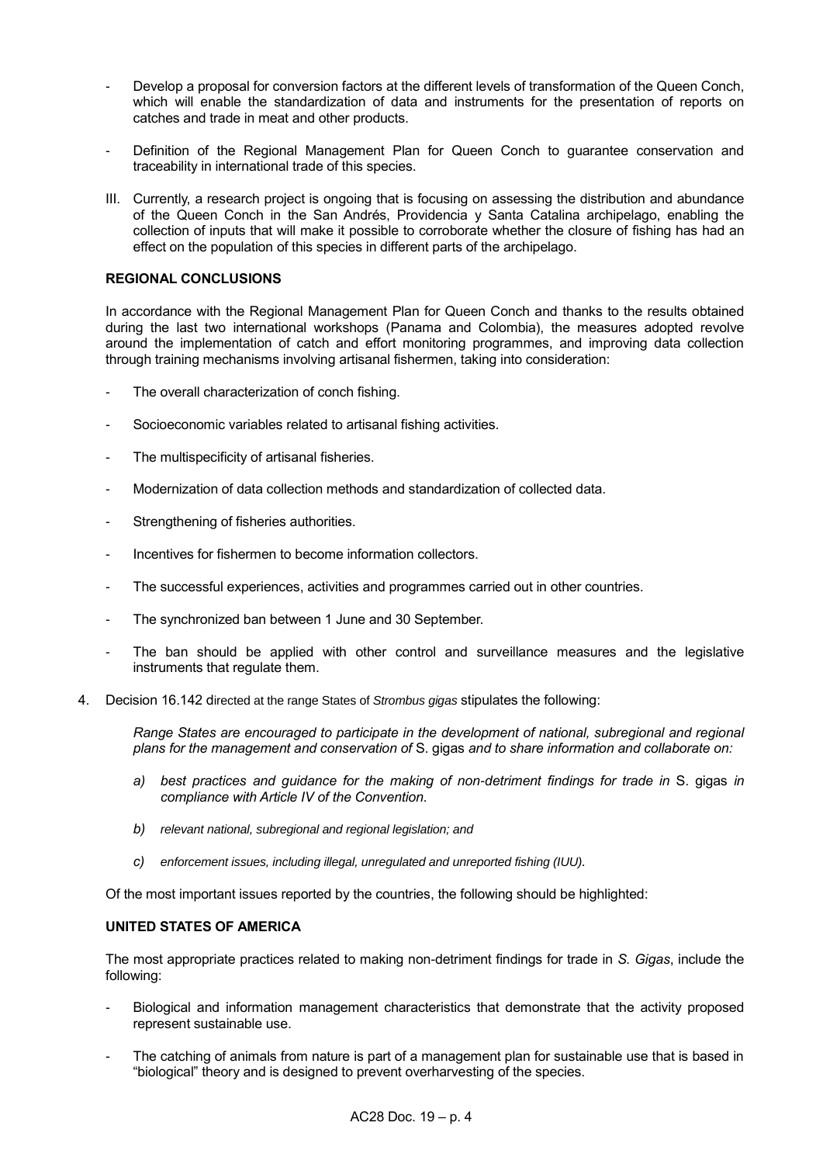- Develop a proposal for conversion factors at the different levels of transformation of the Queen Conch, which will enable the standardization of data and instruments for the presentation of reports on catches and trade in meat and other products.
- Definition of the Regional Management Plan for Queen Conch to guarantee conservation and traceability in international trade of this species.
- III. Currently, a research project is ongoing that is focusing on assessing the distribution and abundance of the Queen Conch in the San Andrés, Providencia y Santa Catalina archipelago, enabling the collection of inputs that will make it possible to corroborate whether the closure of fishing has had an effect on the population of this species in different parts of the archipelago.

# **REGIONAL CONCLUSIONS**

In accordance with the Regional Management Plan for Queen Conch and thanks to the results obtained during the last two international workshops (Panama and Colombia), the measures adopted revolve around the implementation of catch and effort monitoring programmes, and improving data collection through training mechanisms involving artisanal fishermen, taking into consideration:

- The overall characterization of conch fishing.
- Socioeconomic variables related to artisanal fishing activities.
- The multispecificity of artisanal fisheries.
- Modernization of data collection methods and standardization of collected data.
- Strengthening of fisheries authorities.
- Incentives for fishermen to become information collectors.
- The successful experiences, activities and programmes carried out in other countries.
- The synchronized ban between 1 June and 30 September.
- The ban should be applied with other control and surveillance measures and the legislative instruments that regulate them.
- 4. Decision 16.142 directed at the range States of *Strombus gigas* stipulates the following:

*Range States are encouraged to participate in the development of national, subregional and regional plans for the management and conservation of* S. gigas *and to share information and collaborate on:*

- *a) best practices and guidance for the making of non-detriment findings for trade in* S. gigas *in compliance with Article IV of the Convention.*
- *b) relevant national, subregional and regional legislation; and*
- *c) enforcement issues, including illegal, unregulated and unreported fishing (IUU).*

Of the most important issues reported by the countries, the following should be highlighted:

## **UNITED STATES OF AMERICA**

The most appropriate practices related to making non-detriment findings for trade in *S. Gigas*, include the following:

- Biological and information management characteristics that demonstrate that the activity proposed represent sustainable use.
- The catching of animals from nature is part of a management plan for sustainable use that is based in "biological" theory and is designed to prevent overharvesting of the species.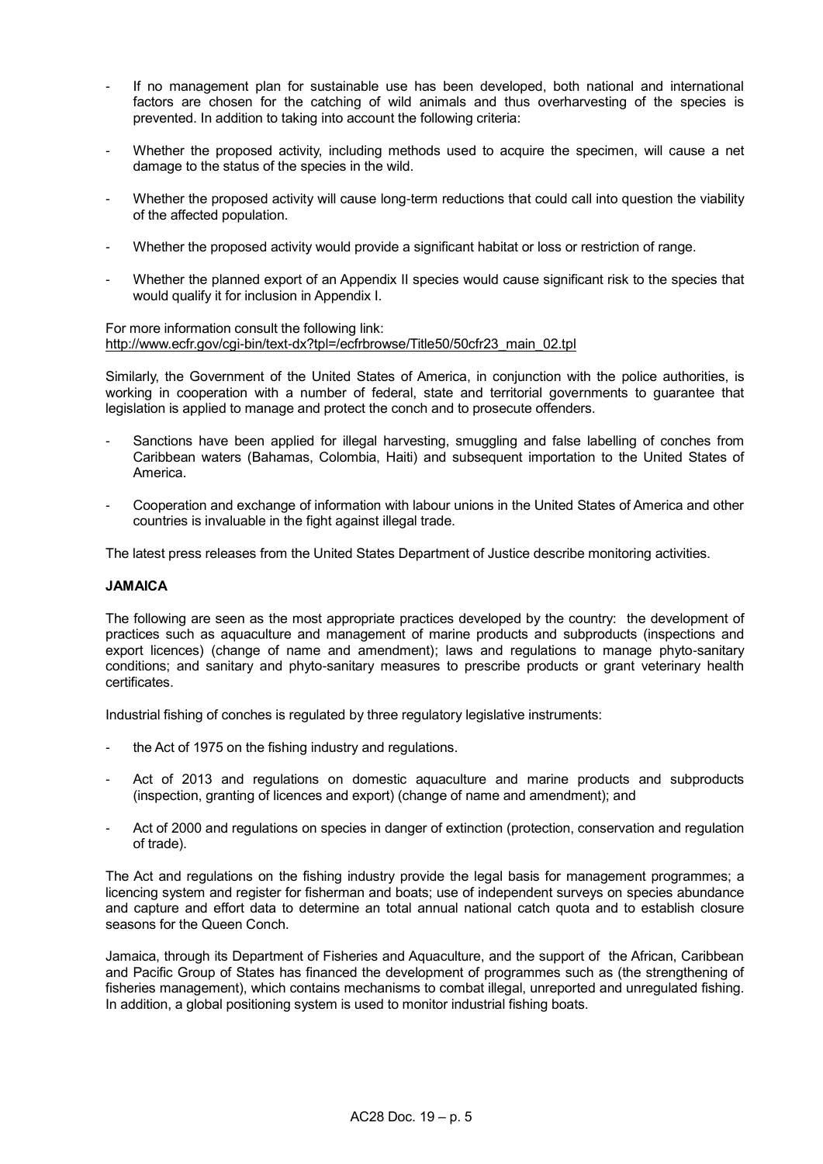- If no management plan for sustainable use has been developed, both national and international factors are chosen for the catching of wild animals and thus overharvesting of the species is prevented. In addition to taking into account the following criteria:
- Whether the proposed activity, including methods used to acquire the specimen, will cause a net damage to the status of the species in the wild.
- Whether the proposed activity will cause long-term reductions that could call into question the viability of the affected population.
- Whether the proposed activity would provide a significant habitat or loss or restriction of range.
- Whether the planned export of an Appendix II species would cause significant risk to the species that would qualify it for inclusion in Appendix I.

For more information consult the following link: [http://www.ecfr.gov/cgi-bin/text-dx?tpl=/ecfrbrowse/Title50/50cfr23\\_main\\_02.tpl](http://www.ecfr.gov/cgi-bin/text-dx?tpl=/ecfrbrowse/Title50/50cfr23_main_02.tpl)

Similarly, the Government of the United States of America, in conjunction with the police authorities, is working in cooperation with a number of federal, state and territorial governments to guarantee that legislation is applied to manage and protect the conch and to prosecute offenders.

- Sanctions have been applied for illegal harvesting, smuggling and false labelling of conches from Caribbean waters (Bahamas, Colombia, Haiti) and subsequent importation to the United States of America.
- Cooperation and exchange of information with labour unions in the United States of America and other countries is invaluable in the fight against illegal trade.

The latest press releases from the United States Department of Justice describe monitoring activities.

### **JAMAICA**

The following are seen as the most appropriate practices developed by the country: the development of practices such as aquaculture and management of marine products and subproducts (inspections and export licences) (change of name and amendment); laws and regulations to manage phyto-sanitary conditions; and sanitary and phyto-sanitary measures to prescribe products or grant veterinary health certificates.

Industrial fishing of conches is regulated by three regulatory legislative instruments:

- the Act of 1975 on the fishing industry and regulations.
- Act of 2013 and regulations on domestic aquaculture and marine products and subproducts (inspection, granting of licences and export) (change of name and amendment); and
- Act of 2000 and regulations on species in danger of extinction (protection, conservation and regulation of trade).

The Act and regulations on the fishing industry provide the legal basis for management programmes; a licencing system and register for fisherman and boats; use of independent surveys on species abundance and capture and effort data to determine an total annual national catch quota and to establish closure seasons for the Queen Conch.

Jamaica, through its Department of Fisheries and Aquaculture, and the support of the African, Caribbean and Pacific Group of States has financed the development of programmes such as (the strengthening of fisheries management), which contains mechanisms to combat illegal, unreported and unregulated fishing. In addition, a global positioning system is used to monitor industrial fishing boats.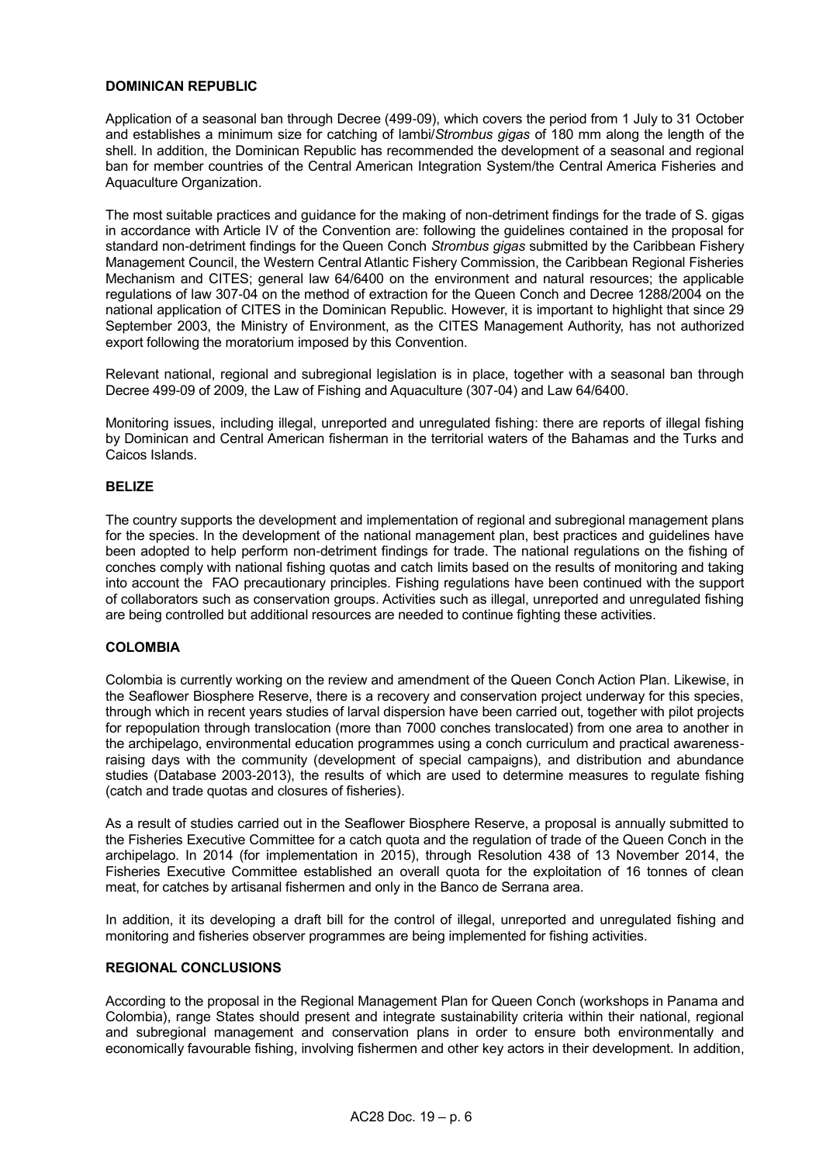# **DOMINICAN REPUBLIC**

Application of a seasonal ban through Decree (499-09), which covers the period from 1 July to 31 October and establishes a minimum size for catching of lambi/*Strombus gigas* of 180 mm along the length of the shell. In addition, the Dominican Republic has recommended the development of a seasonal and regional ban for member countries of the Central American Integration System/the Central America Fisheries and Aquaculture Organization.

The most suitable practices and guidance for the making of non-detriment findings for the trade of S. gigas in accordance with Article IV of the Convention are: following the guidelines contained in the proposal for standard non-detriment findings for the Queen Conch *Strombus gigas* submitted by the Caribbean Fishery Management Council, the Western Central Atlantic Fishery Commission, the Caribbean Regional Fisheries Mechanism and CITES; general law 64/6400 on the environment and natural resources; the applicable regulations of law 307-04 on the method of extraction for the Queen Conch and Decree 1288/2004 on the national application of CITES in the Dominican Republic. However, it is important to highlight that since 29 September 2003, the Ministry of Environment, as the CITES Management Authority, has not authorized export following the moratorium imposed by this Convention.

Relevant national, regional and subregional legislation is in place, together with a seasonal ban through Decree 499-09 of 2009, the Law of Fishing and Aquaculture (307-04) and Law 64/6400.

Monitoring issues, including illegal, unreported and unregulated fishing: there are reports of illegal fishing by Dominican and Central American fisherman in the territorial waters of the Bahamas and the Turks and Caicos Islands.

# **BELIZE**

The country supports the development and implementation of regional and subregional management plans for the species. In the development of the national management plan, best practices and guidelines have been adopted to help perform non-detriment findings for trade. The national regulations on the fishing of conches comply with national fishing quotas and catch limits based on the results of monitoring and taking into account the FAO precautionary principles. Fishing regulations have been continued with the support of collaborators such as conservation groups. Activities such as illegal, unreported and unregulated fishing are being controlled but additional resources are needed to continue fighting these activities.

## **COLOMBIA**

Colombia is currently working on the review and amendment of the Queen Conch Action Plan. Likewise, in the Seaflower Biosphere Reserve, there is a recovery and conservation project underway for this species, through which in recent years studies of larval dispersion have been carried out, together with pilot projects for repopulation through translocation (more than 7000 conches translocated) from one area to another in the archipelago, environmental education programmes using a conch curriculum and practical awarenessraising days with the community (development of special campaigns), and distribution and abundance studies (Database 2003-2013), the results of which are used to determine measures to regulate fishing (catch and trade quotas and closures of fisheries).

As a result of studies carried out in the Seaflower Biosphere Reserve, a proposal is annually submitted to the Fisheries Executive Committee for a catch quota and the regulation of trade of the Queen Conch in the archipelago. In 2014 (for implementation in 2015), through Resolution 438 of 13 November 2014, the Fisheries Executive Committee established an overall quota for the exploitation of 16 tonnes of clean meat, for catches by artisanal fishermen and only in the Banco de Serrana area.

In addition, it its developing a draft bill for the control of illegal, unreported and unregulated fishing and monitoring and fisheries observer programmes are being implemented for fishing activities.

## **REGIONAL CONCLUSIONS**

According to the proposal in the Regional Management Plan for Queen Conch (workshops in Panama and Colombia), range States should present and integrate sustainability criteria within their national, regional and subregional management and conservation plans in order to ensure both environmentally and economically favourable fishing, involving fishermen and other key actors in their development. In addition,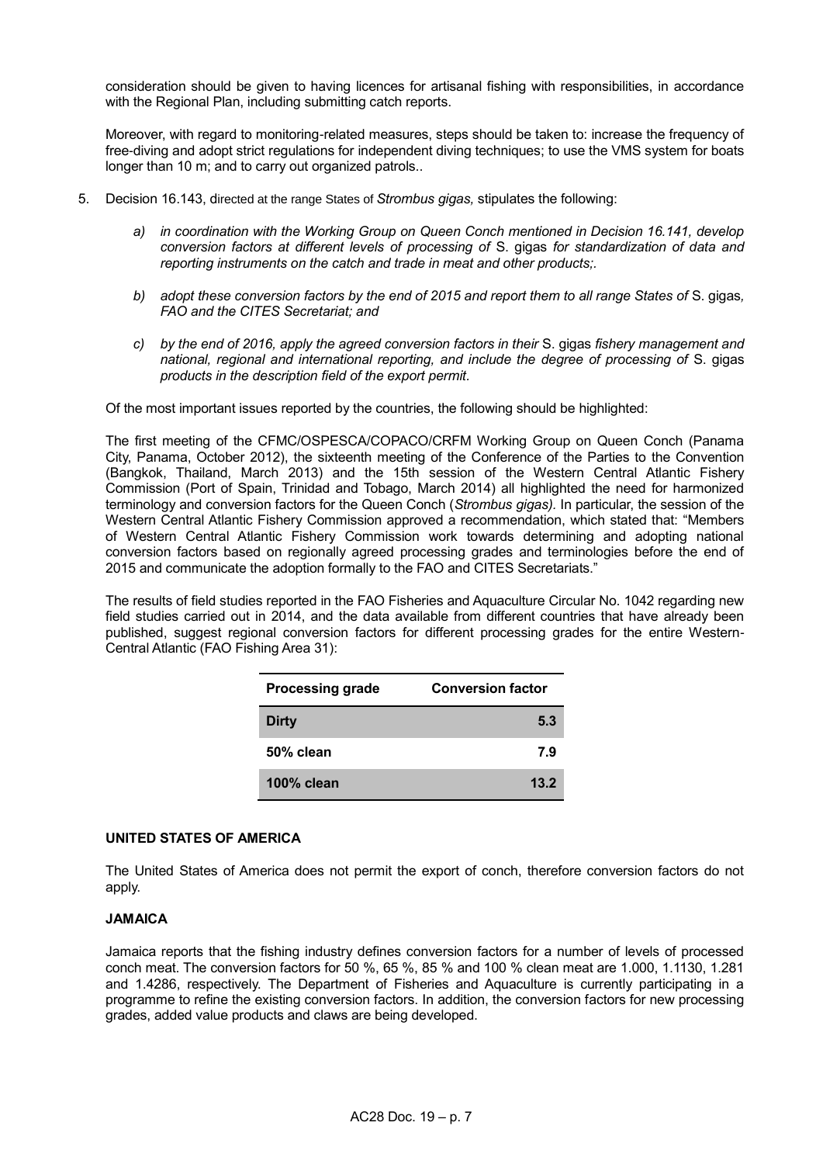consideration should be given to having licences for artisanal fishing with responsibilities, in accordance with the Regional Plan, including submitting catch reports.

Moreover, with regard to monitoring-related measures, steps should be taken to: increase the frequency of free-diving and adopt strict regulations for independent diving techniques; to use the VMS system for boats longer than 10 m; and to carry out organized patrols..

- 5. Decision 16.143, directed at the range States of *Strombus gigas,* stipulates the following:
	- *a) in coordination with the Working Group on Queen Conch mentioned in Decision 16.141, develop conversion factors at different levels of processing of* S. gigas *for standardization of data and reporting instruments on the catch and trade in meat and other products;.*
	- *b) adopt these conversion factors by the end of 2015 and report them to all range States of* S. gigas*, FAO and the CITES Secretariat; and*
	- *c) by the end of 2016, apply the agreed conversion factors in their* S. gigas *fishery management and national, regional and international reporting, and include the degree of processing of* S. gigas *products in the description field of the export permit.*

Of the most important issues reported by the countries, the following should be highlighted:

The first meeting of the CFMC/OSPESCA/COPACO/CRFM Working Group on Queen Conch (Panama City, Panama, October 2012), the sixteenth meeting of the Conference of the Parties to the Convention (Bangkok, Thailand, March 2013) and the 15th session of the Western Central Atlantic Fishery Commission (Port of Spain, Trinidad and Tobago, March 2014) all highlighted the need for harmonized terminology and conversion factors for the Queen Conch (*Strombus gigas).* In particular, the session of the Western Central Atlantic Fishery Commission approved a recommendation, which stated that: "Members of Western Central Atlantic Fishery Commission work towards determining and adopting national conversion factors based on regionally agreed processing grades and terminologies before the end of 2015 and communicate the adoption formally to the FAO and CITES Secretariats."

The results of field studies reported in the FAO Fisheries and Aquaculture Circular No. 1042 regarding new field studies carried out in 2014, and the data available from different countries that have already been published, suggest regional conversion factors for different processing grades for the entire Western-Central Atlantic (FAO Fishing Area 31):

| <b>Processing grade</b> | <b>Conversion factor</b> |
|-------------------------|--------------------------|
| <b>Dirty</b>            | 5.3                      |
| 50% clean               | 7.9                      |
| 100% clean              | 13.2                     |

# **UNITED STATES OF AMERICA**

The United States of America does not permit the export of conch, therefore conversion factors do not apply.

# **JAMAICA**

Jamaica reports that the fishing industry defines conversion factors for a number of levels of processed conch meat. The conversion factors for 50 %, 65 %, 85 % and 100 % clean meat are 1.000, 1.1130, 1.281 and 1.4286, respectively. The Department of Fisheries and Aquaculture is currently participating in a programme to refine the existing conversion factors. In addition, the conversion factors for new processing grades, added value products and claws are being developed.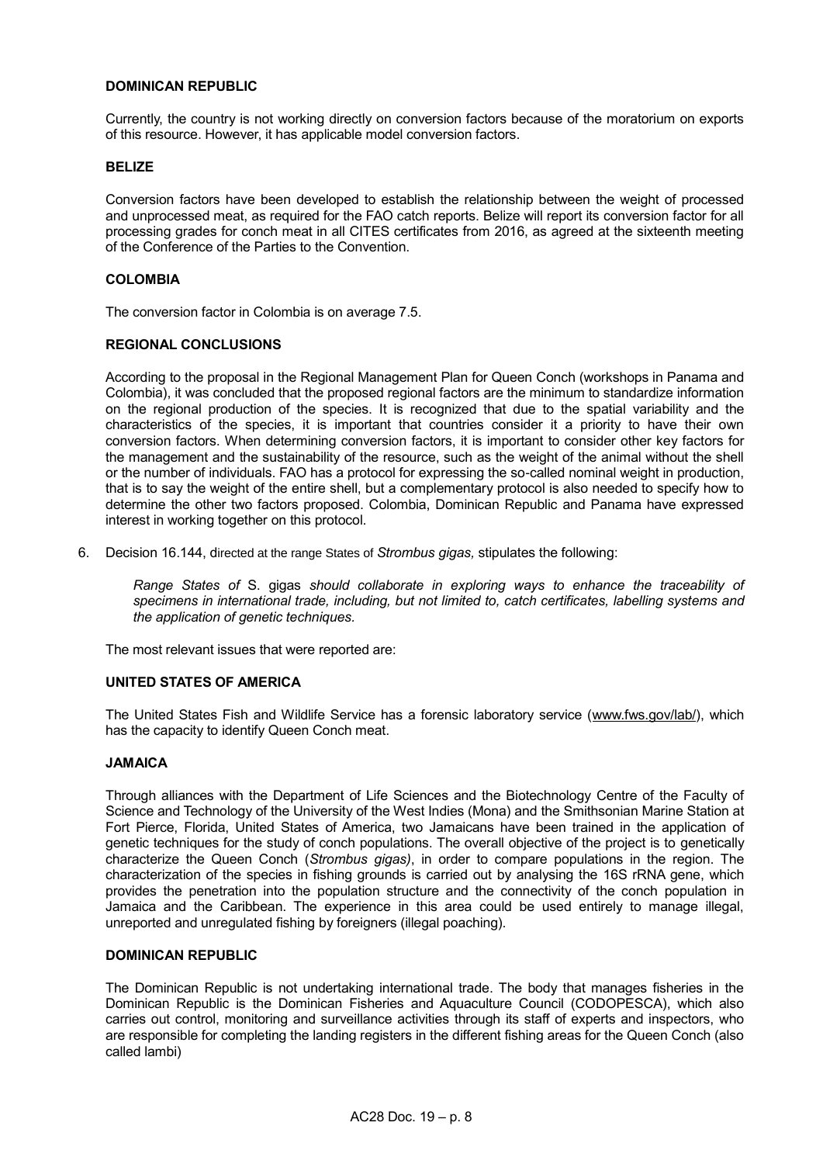# **DOMINICAN REPUBLIC**

Currently, the country is not working directly on conversion factors because of the moratorium on exports of this resource. However, it has applicable model conversion factors.

### **BELIZE**

Conversion factors have been developed to establish the relationship between the weight of processed and unprocessed meat, as required for the FAO catch reports. Belize will report its conversion factor for all processing grades for conch meat in all CITES certificates from 2016, as agreed at the sixteenth meeting of the Conference of the Parties to the Convention.

### **COLOMBIA**

The conversion factor in Colombia is on average 7.5.

## **REGIONAL CONCLUSIONS**

According to the proposal in the Regional Management Plan for Queen Conch (workshops in Panama and Colombia), it was concluded that the proposed regional factors are the minimum to standardize information on the regional production of the species. It is recognized that due to the spatial variability and the characteristics of the species, it is important that countries consider it a priority to have their own conversion factors. When determining conversion factors, it is important to consider other key factors for the management and the sustainability of the resource, such as the weight of the animal without the shell or the number of individuals. FAO has a protocol for expressing the so-called nominal weight in production, that is to say the weight of the entire shell, but a complementary protocol is also needed to specify how to determine the other two factors proposed. Colombia, Dominican Republic and Panama have expressed interest in working together on this protocol.

6. Decision 16.144, directed at the range States of *Strombus gigas,* stipulates the following:

*Range States of* S. gigas *should collaborate in exploring ways to enhance the traceability of specimens in international trade, including, but not limited to, catch certificates, labelling systems and the application of genetic techniques.*

The most relevant issues that were reported are:

## **UNITED STATES OF AMERICA**

The United States Fish and Wildlife Service has a forensic laboratory service [\(www.fws.gov/lab/\)](http://www.fws.gov/lab/), which has the capacity to identify Queen Conch meat.

# **JAMAICA**

Through alliances with the Department of Life Sciences and the Biotechnology Centre of the Faculty of Science and Technology of the University of the West Indies (Mona) and the Smithsonian Marine Station at Fort Pierce, Florida, United States of America, two Jamaicans have been trained in the application of genetic techniques for the study of conch populations. The overall objective of the project is to genetically characterize the Queen Conch (*Strombus gigas)*, in order to compare populations in the region. The characterization of the species in fishing grounds is carried out by analysing the 16S rRNA gene, which provides the penetration into the population structure and the connectivity of the conch population in Jamaica and the Caribbean. The experience in this area could be used entirely to manage illegal, unreported and unregulated fishing by foreigners (illegal poaching).

#### **DOMINICAN REPUBLIC**

The Dominican Republic is not undertaking international trade. The body that manages fisheries in the Dominican Republic is the Dominican Fisheries and Aquaculture Council (CODOPESCA), which also carries out control, monitoring and surveillance activities through its staff of experts and inspectors, who are responsible for completing the landing registers in the different fishing areas for the Queen Conch (also called lambi)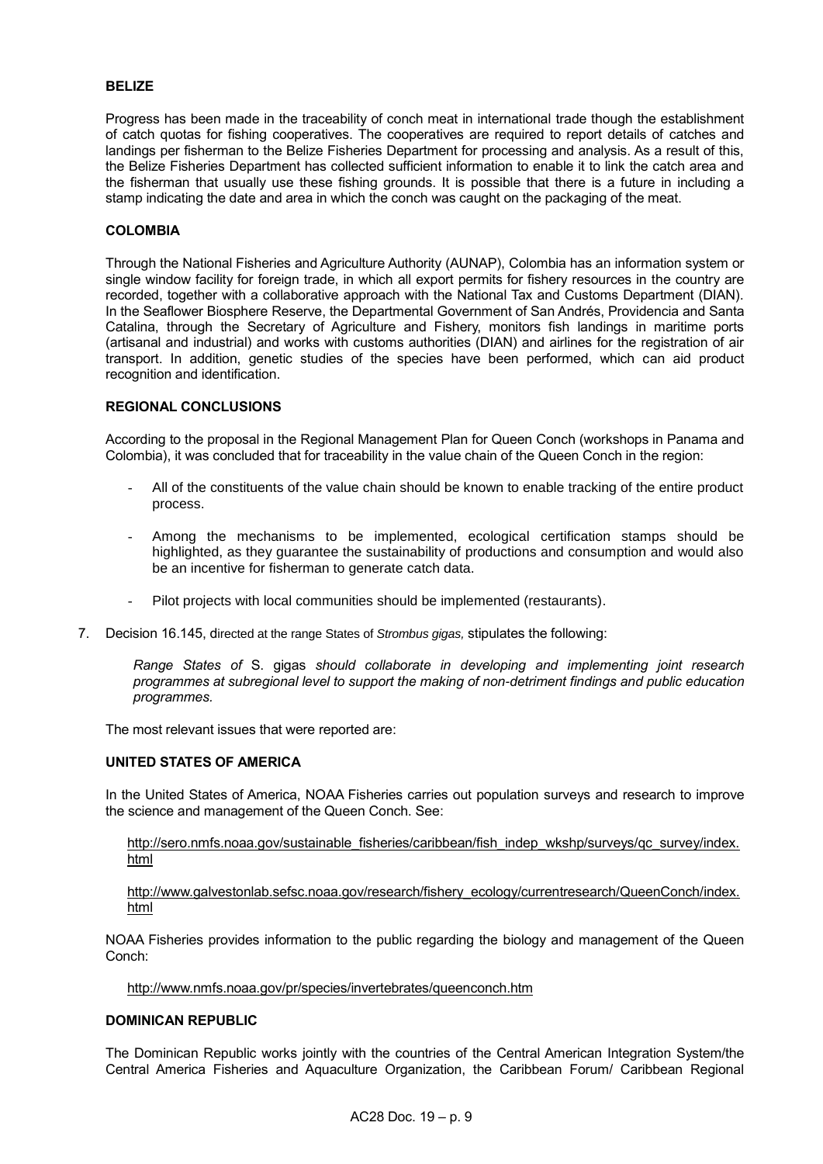### **BELIZE**

Progress has been made in the traceability of conch meat in international trade though the establishment of catch quotas for fishing cooperatives. The cooperatives are required to report details of catches and landings per fisherman to the Belize Fisheries Department for processing and analysis. As a result of this, the Belize Fisheries Department has collected sufficient information to enable it to link the catch area and the fisherman that usually use these fishing grounds. It is possible that there is a future in including a stamp indicating the date and area in which the conch was caught on the packaging of the meat.

#### **COLOMBIA**

Through the National Fisheries and Agriculture Authority (AUNAP), Colombia has an information system or single window facility for foreign trade, in which all export permits for fishery resources in the country are recorded, together with a collaborative approach with the National Tax and Customs Department (DIAN). In the Seaflower Biosphere Reserve, the Departmental Government of San Andrés, Providencia and Santa Catalina, through the Secretary of Agriculture and Fishery, monitors fish landings in maritime ports (artisanal and industrial) and works with customs authorities (DIAN) and airlines for the registration of air transport. In addition, genetic studies of the species have been performed, which can aid product recognition and identification.

## **REGIONAL CONCLUSIONS**

According to the proposal in the Regional Management Plan for Queen Conch (workshops in Panama and Colombia), it was concluded that for traceability in the value chain of the Queen Conch in the region:

- All of the constituents of the value chain should be known to enable tracking of the entire product process.
- Among the mechanisms to be implemented, ecological certification stamps should be highlighted, as they guarantee the sustainability of productions and consumption and would also be an incentive for fisherman to generate catch data.
- Pilot projects with local communities should be implemented (restaurants).
- 7. Decision 16.145, directed at the range States of *Strombus gigas,* stipulates the following:

*Range States of* S. gigas *should collaborate in developing and implementing joint research programmes at subregional level to support the making of non-detriment findings and public education programmes.*

The most relevant issues that were reported are:

## **UNITED STATES OF AMERICA**

In the United States of America, NOAA Fisheries carries out population surveys and research to improve the science and management of the Queen Conch. See:

## [http://sero.nmfs.noaa.gov/sustainable\\_fisheries/caribbean/fish\\_indep\\_wkshp/surveys/qc\\_survey/index.](http://sero.nmfs.noaa.gov/sustainable_fisheries/caribbean/fish_indep_wkshp/surveys/qc_survey/index.html) [html](http://sero.nmfs.noaa.gov/sustainable_fisheries/caribbean/fish_indep_wkshp/surveys/qc_survey/index.html)

## [http://www.galvestonlab.sefsc.noaa.gov/research/fishery\\_ecology/currentresearch/QueenConch/index.](http://www.galvestonlab.sefsc.noaa.gov/research/fishery_ecology/currentresearch/QueenConch/index.html) [html](http://www.galvestonlab.sefsc.noaa.gov/research/fishery_ecology/currentresearch/QueenConch/index.html)

NOAA Fisheries provides information to the public regarding the biology and management of the Queen Conch:

<http://www.nmfs.noaa.gov/pr/species/invertebrates/queenconch.htm>

#### **DOMINICAN REPUBLIC**

The Dominican Republic works jointly with the countries of the Central American Integration System/the Central America Fisheries and Aquaculture Organization, the Caribbean Forum/ Caribbean Regional